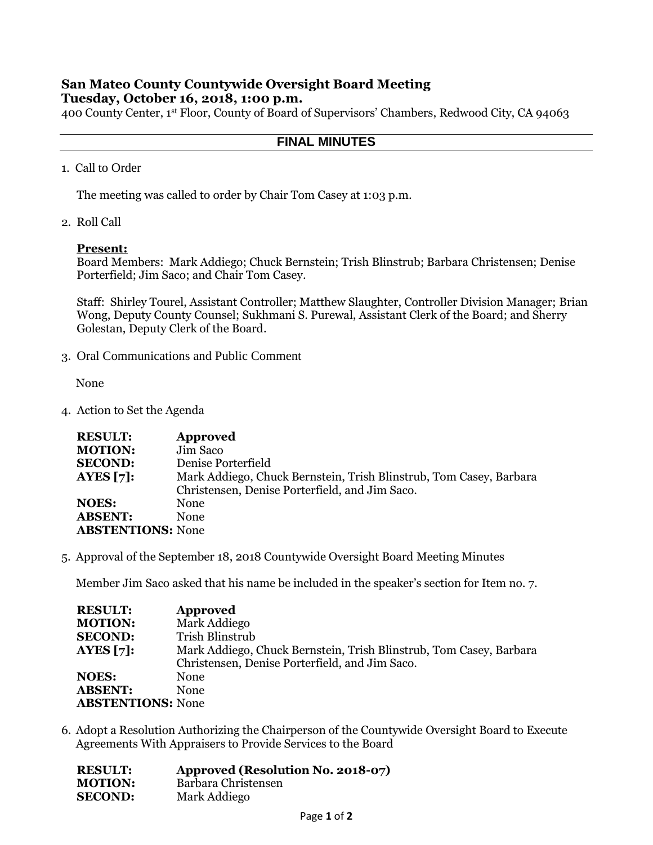# **San Mateo County Countywide Oversight Board Meeting Tuesday, October 16, 2018, 1:00 p.m.**

400 County Center, 1st Floor, County of Board of Supervisors' Chambers, Redwood City, CA 94063

## **FINAL MINUTES**

1. Call to Order

The meeting was called to order by Chair Tom Casey at 1:03 p.m.

2. Roll Call

## **Present:**

Board Members: Mark Addiego; Chuck Bernstein; Trish Blinstrub; Barbara Christensen; Denise Porterfield; Jim Saco; and Chair Tom Casey.

Staff: Shirley Tourel, Assistant Controller; Matthew Slaughter, Controller Division Manager; Brian Wong, Deputy County Counsel; Sukhmani S. Purewal, Assistant Clerk of the Board; and Sherry Golestan, Deputy Clerk of the Board.

3. Oral Communications and Public Comment

None

4. Action to Set the Agenda

| <b>RESULT:</b>           | <b>Approved</b>                                                    |
|--------------------------|--------------------------------------------------------------------|
| <b>MOTION:</b>           | Jim Saco                                                           |
| <b>SECOND:</b>           | Denise Porterfield                                                 |
| <b>AYES</b> [7]:         | Mark Addiego, Chuck Bernstein, Trish Blinstrub, Tom Casey, Barbara |
|                          | Christensen, Denise Porterfield, and Jim Saco.                     |
| <b>NOES:</b>             | None                                                               |
| <b>ABSENT:</b>           | None                                                               |
| <b>ABSTENTIONS: None</b> |                                                                    |

5. Approval of the September 18, 2018 Countywide Oversight Board Meeting Minutes

Member Jim Saco asked that his name be included in the speaker's section for Item no. 7.

| <b>RESULT:</b>           | Approved                                                           |
|--------------------------|--------------------------------------------------------------------|
| <b>MOTION:</b>           | Mark Addiego                                                       |
| <b>SECOND:</b>           | Trish Blinstrub                                                    |
| AYES $[7]:$              | Mark Addiego, Chuck Bernstein, Trish Blinstrub, Tom Casey, Barbara |
|                          | Christensen, Denise Porterfield, and Jim Saco.                     |
| <b>NOES:</b>             | None                                                               |
| <b>ABSENT:</b>           | None                                                               |
| <b>ABSTENTIONS: None</b> |                                                                    |

6. Adopt a Resolution Authorizing the Chairperson of the Countywide Oversight Board to Execute Agreements With Appraisers to Provide Services to the Board

| <b>RESULT:</b> | Approved (Resolution No. 2018-07) |
|----------------|-----------------------------------|
| <b>MOTION:</b> | Barbara Christensen               |
| <b>SECOND:</b> | Mark Addiego                      |